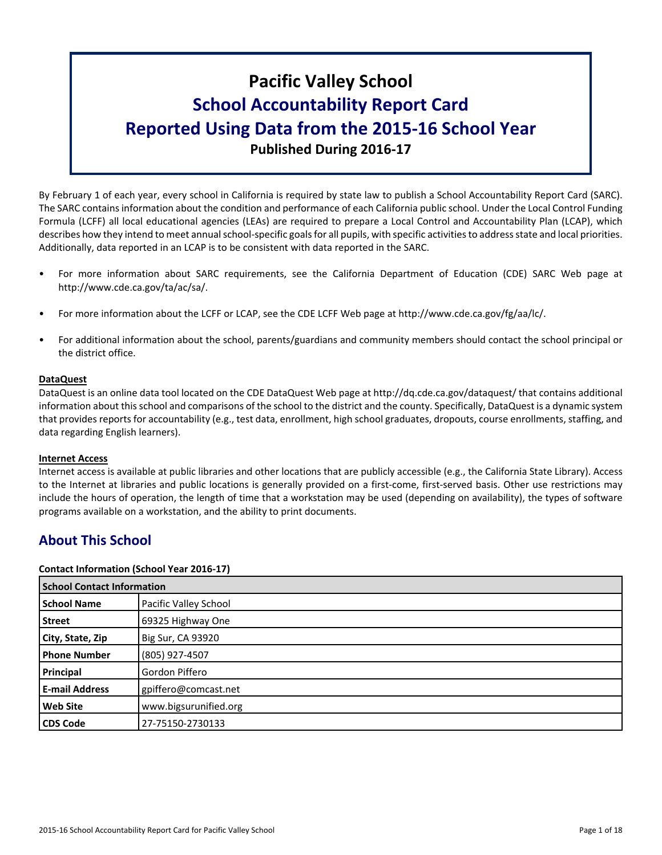# **Pacific Valley School School Accountability Report Card Reported Using Data from the 2015-16 School Year Published During 2016-17**

By February 1 of each year, every school in California is required by state law to publish a School Accountability Report Card (SARC). The SARC contains information about the condition and performance of each California public school. Under the Local Control Funding Formula (LCFF) all local educational agencies (LEAs) are required to prepare a Local Control and Accountability Plan (LCAP), which describes how they intend to meet annual school-specific goals for all pupils, with specific activities to address state and local priorities. Additionally, data reported in an LCAP is to be consistent with data reported in the SARC.

- For more information about SARC requirements, see the California Department of Education (CDE) SARC Web page at http://www.cde.ca.gov/ta/ac/sa/.
- For more information about the LCFF or LCAP, see the CDE LCFF Web page at http://www.cde.ca.gov/fg/aa/lc/.
- For additional information about the school, parents/guardians and community members should contact the school principal or the district office.

## **DataQuest**

DataQuest is an online data tool located on the CDE DataQuest Web page at http://dq.cde.ca.gov/dataquest/ that contains additional information about this school and comparisons of the school to the district and the county. Specifically, DataQuest is a dynamic system that provides reports for accountability (e.g., test data, enrollment, high school graduates, dropouts, course enrollments, staffing, and data regarding English learners).

## **Internet Access**

Internet access is available at public libraries and other locations that are publicly accessible (e.g., the California State Library). Access to the Internet at libraries and public locations is generally provided on a first-come, first-served basis. Other use restrictions may include the hours of operation, the length of time that a workstation may be used (depending on availability), the types of software programs available on a workstation, and the ability to print documents.

## **About This School**

#### **Contact Information (School Year 2016-17)**

| <b>School Contact Information</b> |                       |  |  |  |
|-----------------------------------|-----------------------|--|--|--|
| <b>School Name</b>                | Pacific Valley School |  |  |  |
| <b>Street</b>                     | 69325 Highway One     |  |  |  |
| City, State, Zip                  | Big Sur, CA 93920     |  |  |  |
| <b>Phone Number</b>               | (805) 927-4507        |  |  |  |
| Principal                         | Gordon Piffero        |  |  |  |
| <b>E-mail Address</b>             | gpiffero@comcast.net  |  |  |  |
| <b>Web Site</b>                   | www.bigsurunified.org |  |  |  |
| <b>CDS Code</b>                   | 27-75150-2730133      |  |  |  |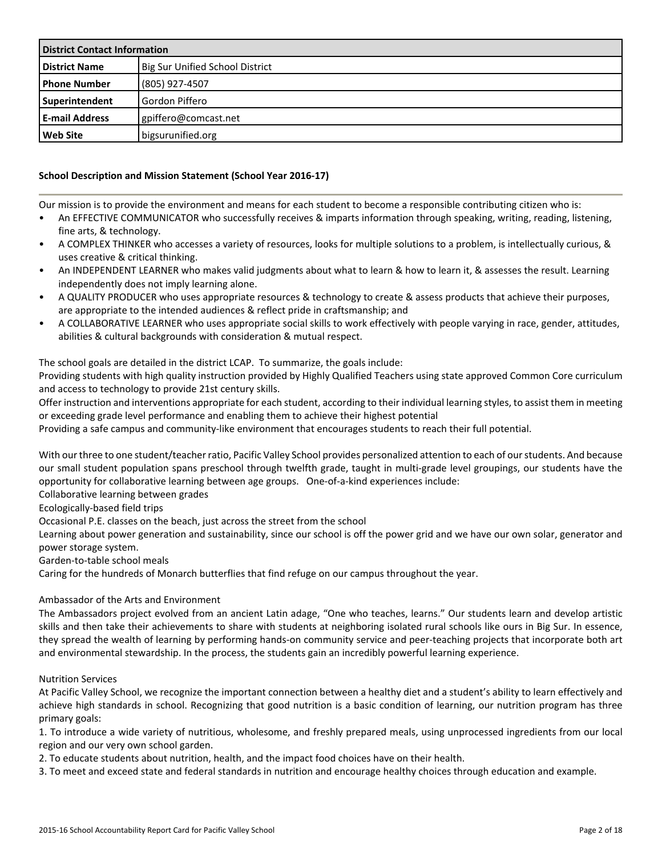| <b>District Contact Information</b> |                                 |  |  |
|-------------------------------------|---------------------------------|--|--|
| <b>District Name</b>                | Big Sur Unified School District |  |  |
| <b>Phone Number</b>                 | (805) 927-4507                  |  |  |
| <b>Superintendent</b>               | l Gordon Piffero                |  |  |
| <b>E-mail Address</b>               | gpiffero@comcast.net            |  |  |
| <b>Web Site</b>                     | bigsurunified.org               |  |  |

## **School Description and Mission Statement (School Year 2016-17)**

Our mission is to provide the environment and means for each student to become a responsible contributing citizen who is:

- An EFFECTIVE COMMUNICATOR who successfully receives & imparts information through speaking, writing, reading, listening, fine arts, & technology.
- A COMPLEX THINKER who accesses a variety of resources, looks for multiple solutions to a problem, is intellectually curious, & uses creative & critical thinking.
- An INDEPENDENT LEARNER who makes valid judgments about what to learn & how to learn it, & assesses the result. Learning independently does not imply learning alone.
- A QUALITY PRODUCER who uses appropriate resources & technology to create & assess products that achieve their purposes, are appropriate to the intended audiences & reflect pride in craftsmanship; and
- A COLLABORATIVE LEARNER who uses appropriate social skills to work effectively with people varying in race, gender, attitudes, abilities & cultural backgrounds with consideration & mutual respect.

The school goals are detailed in the district LCAP. To summarize, the goals include:

Providing students with high quality instruction provided by Highly Qualified Teachers using state approved Common Core curriculum and access to technology to provide 21st century skills.

Offer instruction and interventions appropriate for each student, according to their individual learning styles, to assist them in meeting or exceeding grade level performance and enabling them to achieve their highest potential

Providing a safe campus and community-like environment that encourages students to reach their full potential.

With our three to one student/teacher ratio, Pacific Valley School provides personalized attention to each of our students. And because our small student population spans preschool through twelfth grade, taught in multi-grade level groupings, our students have the opportunity for collaborative learning between age groups. One-of-a-kind experiences include:

Collaborative learning between grades

Ecologically-based field trips

Occasional P.E. classes on the beach, just across the street from the school

Learning about power generation and sustainability, since our school is off the power grid and we have our own solar, generator and power storage system.

Garden-to-table school meals

Caring for the hundreds of Monarch butterflies that find refuge on our campus throughout the year.

## Ambassador of the Arts and Environment

The Ambassadors project evolved from an ancient Latin adage, "One who teaches, learns." Our students learn and develop artistic skills and then take their achievements to share with students at neighboring isolated rural schools like ours in Big Sur. In essence, they spread the wealth of learning by performing hands-on community service and peer-teaching projects that incorporate both art and environmental stewardship. In the process, the students gain an incredibly powerful learning experience.

Nutrition Services

At Pacific Valley School, we recognize the important connection between a healthy diet and a student's ability to learn effectively and achieve high standards in school. Recognizing that good nutrition is a basic condition of learning, our nutrition program has three primary goals:

1. To introduce a wide variety of nutritious, wholesome, and freshly prepared meals, using unprocessed ingredients from our local region and our very own school garden.

2. To educate students about nutrition, health, and the impact food choices have on their health.

3. To meet and exceed state and federal standards in nutrition and encourage healthy choices through education and example.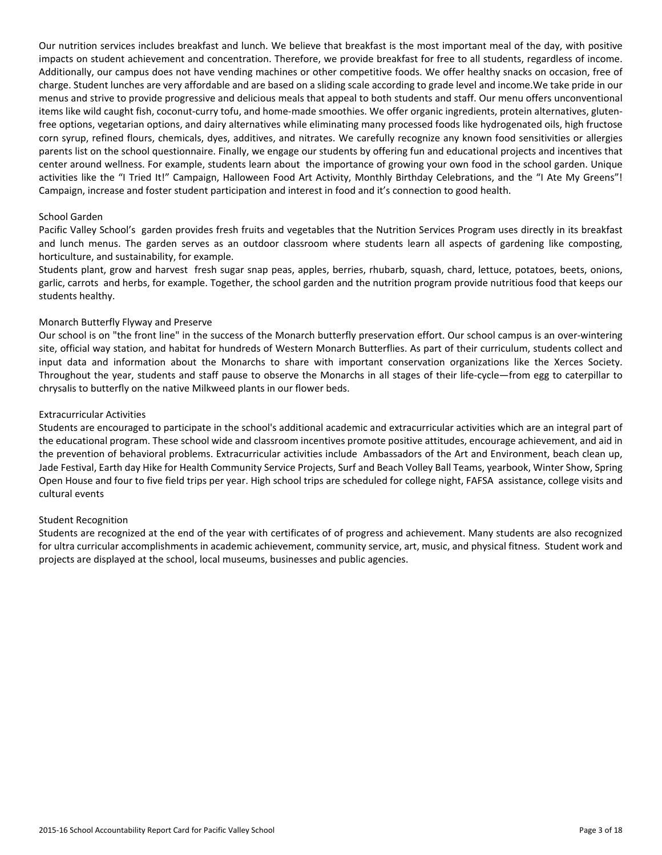Our nutrition services includes breakfast and lunch. We believe that breakfast is the most important meal of the day, with positive impacts on student achievement and concentration. Therefore, we provide breakfast for free to all students, regardless of income. Additionally, our campus does not have vending machines or other competitive foods. We offer healthy snacks on occasion, free of charge. Student lunches are very affordable and are based on a sliding scale according to grade level and income.We take pride in our menus and strive to provide progressive and delicious meals that appeal to both students and staff. Our menu offers unconventional items like wild caught fish, coconut-curry tofu, and home-made smoothies. We offer organic ingredients, protein alternatives, glutenfree options, vegetarian options, and dairy alternatives while eliminating many processed foods like hydrogenated oils, high fructose corn syrup, refined flours, chemicals, dyes, additives, and nitrates. We carefully recognize any known food sensitivities or allergies parents list on the school questionnaire. Finally, we engage our students by offering fun and educational projects and incentives that center around wellness. For example, students learn about the importance of growing your own food in the school garden. Unique activities like the "I Tried It!" Campaign, Halloween Food Art Activity, Monthly Birthday Celebrations, and the "I Ate My Greens"! Campaign, increase and foster student participation and interest in food and it's connection to good health.

#### School Garden

Pacific Valley School's garden provides fresh fruits and vegetables that the Nutrition Services Program uses directly in its breakfast and lunch menus. The garden serves as an outdoor classroom where students learn all aspects of gardening like composting, horticulture, and sustainability, for example.

Students plant, grow and harvest fresh sugar snap peas, apples, berries, rhubarb, squash, chard, lettuce, potatoes, beets, onions, garlic, carrots and herbs, for example. Together, the school garden and the nutrition program provide nutritious food that keeps our students healthy.

#### Monarch Butterfly Flyway and Preserve

Our school is on "the front line" in the success of the Monarch butterfly preservation effort. Our school campus is an over-wintering site, official way station, and habitat for hundreds of Western Monarch Butterflies. As part of their curriculum, students collect and input data and information about the Monarchs to share with important conservation organizations like the Xerces Society. Throughout the year, students and staff pause to observe the Monarchs in all stages of their life-cycle—from egg to caterpillar to chrysalis to butterfly on the native Milkweed plants in our flower beds.

#### Extracurricular Activities

Students are encouraged to participate in the school's additional academic and extracurricular activities which are an integral part of the educational program. These school wide and classroom incentives promote positive attitudes, encourage achievement, and aid in the prevention of behavioral problems. Extracurricular activities include Ambassadors of the Art and Environment, beach clean up, Jade Festival, Earth day Hike for Health Community Service Projects, Surf and Beach Volley Ball Teams, yearbook, Winter Show, Spring Open House and four to five field trips per year. High school trips are scheduled for college night, FAFSA assistance, college visits and cultural events

#### Student Recognition

Students are recognized at the end of the year with certificates of of progress and achievement. Many students are also recognized for ultra curricular accomplishments in academic achievement, community service, art, music, and physical fitness. Student work and projects are displayed at the school, local museums, businesses and public agencies.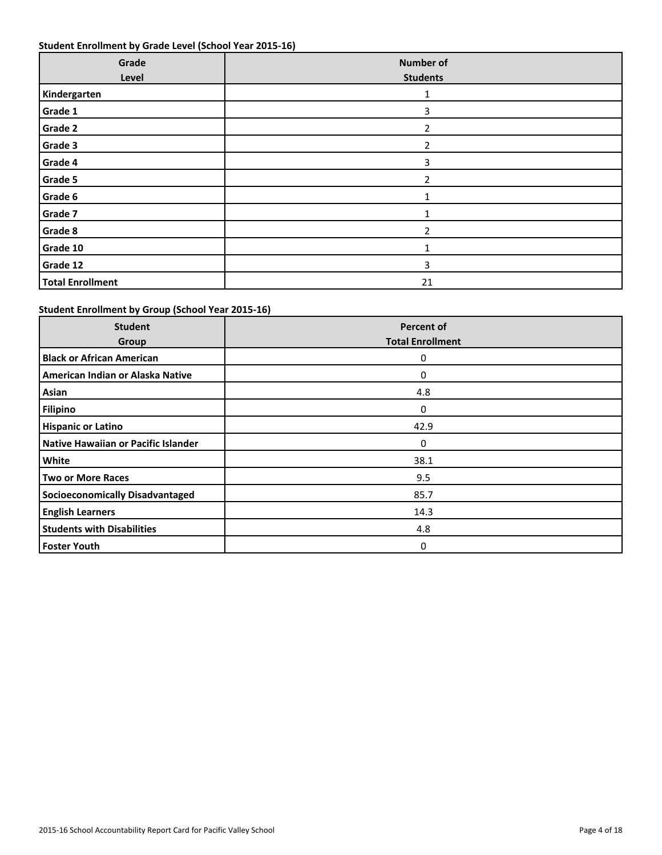## **Student Enrollment by Grade Level (School Year 2015-16)**

| Grade<br>Level          | <b>Number of</b><br><b>Students</b> |
|-------------------------|-------------------------------------|
| Kindergarten            | 1                                   |
| Grade 1                 | 3                                   |
| Grade 2                 | $\overline{2}$                      |
| Grade 3                 | $\overline{2}$                      |
| Grade 4                 | 3                                   |
| Grade 5                 | $\overline{2}$                      |
| Grade 6                 | $\mathbf{1}$                        |
| Grade 7                 | $\mathbf{1}$                        |
| Grade 8                 | 2                                   |
| Grade 10                |                                     |
| Grade 12                | 3                                   |
| <b>Total Enrollment</b> | 21                                  |

## **Student Enrollment by Group (School Year 2015-16)**

| <b>Student</b><br>Group                | <b>Percent of</b><br><b>Total Enrollment</b> |
|----------------------------------------|----------------------------------------------|
| <b>Black or African American</b>       | 0                                            |
| American Indian or Alaska Native       | 0                                            |
| Asian                                  | 4.8                                          |
| Filipino                               | 0                                            |
| <b>Hispanic or Latino</b>              | 42.9                                         |
| Native Hawaiian or Pacific Islander    | 0                                            |
| White                                  | 38.1                                         |
| Two or More Races                      | 9.5                                          |
| <b>Socioeconomically Disadvantaged</b> | 85.7                                         |
| <b>English Learners</b>                | 14.3                                         |
| <b>Students with Disabilities</b>      | 4.8                                          |
| <b>Foster Youth</b>                    | 0                                            |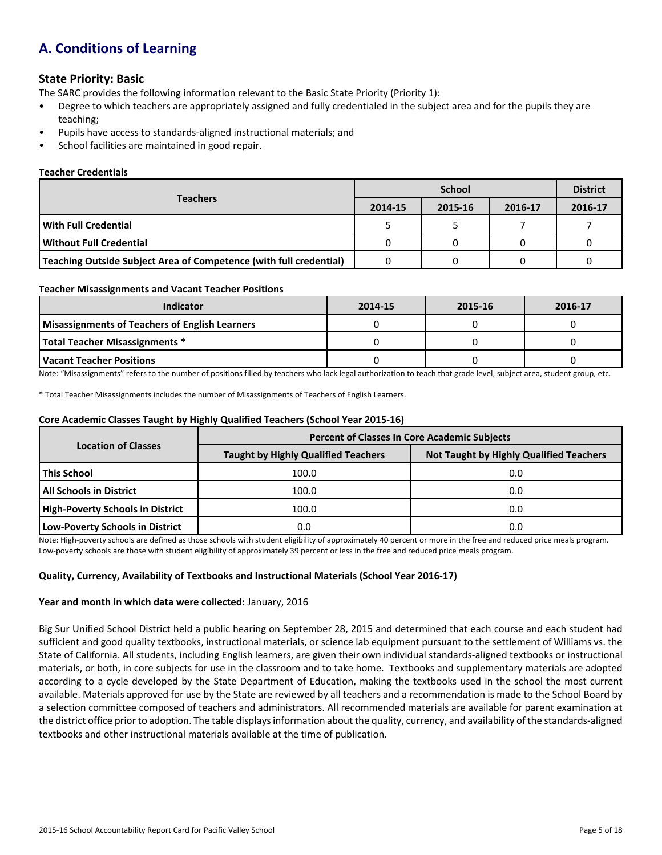## **A. Conditions of Learning**

## **State Priority: Basic**

The SARC provides the following information relevant to the Basic State Priority (Priority 1):

- Degree to which teachers are appropriately assigned and fully credentialed in the subject area and for the pupils they are teaching;
- Pupils have access to standards-aligned instructional materials; and
- School facilities are maintained in good repair.

#### **Teacher Credentials**

|                                                                    |         | <b>District</b> |         |         |
|--------------------------------------------------------------------|---------|-----------------|---------|---------|
| <b>Teachers</b>                                                    | 2014-15 | 2015-16         | 2016-17 | 2016-17 |
| l With Full Credential                                             |         |                 |         |         |
| l Without Full Credential                                          |         |                 |         |         |
| Teaching Outside Subject Area of Competence (with full credential) |         |                 |         |         |

#### **Teacher Misassignments and Vacant Teacher Positions**

| <b>Indicator</b>                                      | 2014-15 | 2015-16 | 2016-17 |
|-------------------------------------------------------|---------|---------|---------|
| <b>Misassignments of Teachers of English Learners</b> |         |         |         |
| Total Teacher Misassignments *                        |         |         |         |
| Vacant Teacher Positions                              |         |         |         |

Note: "Misassignments" refers to the number of positions filled by teachers who lack legal authorization to teach that grade level, subject area, student group, etc.

\* Total Teacher Misassignments includes the number of Misassignments of Teachers of English Learners.

#### **Core Academic Classes Taught by Highly Qualified Teachers (School Year 2015-16)**

|                                  | <b>Percent of Classes In Core Academic Subjects</b> |                                                |  |  |  |
|----------------------------------|-----------------------------------------------------|------------------------------------------------|--|--|--|
| <b>Location of Classes</b>       | <b>Taught by Highly Qualified Teachers</b>          | <b>Not Taught by Highly Qualified Teachers</b> |  |  |  |
| This School                      | 100.0                                               | 0.0                                            |  |  |  |
| <b>All Schools in District</b>   | 100.0                                               | 0.0                                            |  |  |  |
| High-Poverty Schools in District | 100.0                                               | 0.0                                            |  |  |  |
| Low-Poverty Schools in District  | 0.0                                                 | 0.0                                            |  |  |  |

Note: High-poverty schools are defined as those schools with student eligibility of approximately 40 percent or more in the free and reduced price meals program. Low-poverty schools are those with student eligibility of approximately 39 percent or less in the free and reduced price meals program.

## **Quality, Currency, Availability of Textbooks and Instructional Materials (School Year 2016-17)**

#### **Year and month in which data were collected:** January, 2016

Big Sur Unified School District held a public hearing on September 28, 2015 and determined that each course and each student had sufficient and good quality textbooks, instructional materials, or science lab equipment pursuant to the settlement of Williams vs. the State of California. All students, including English learners, are given their own individual standards-aligned textbooks or instructional materials, or both, in core subjects for use in the classroom and to take home. Textbooks and supplementary materials are adopted according to a cycle developed by the State Department of Education, making the textbooks used in the school the most current available. Materials approved for use by the State are reviewed by all teachers and a recommendation is made to the School Board by a selection committee composed of teachers and administrators. All recommended materials are available for parent examination at the district office prior to adoption. The table displays information about the quality, currency, and availability of the standards-aligned textbooks and other instructional materials available at the time of publication.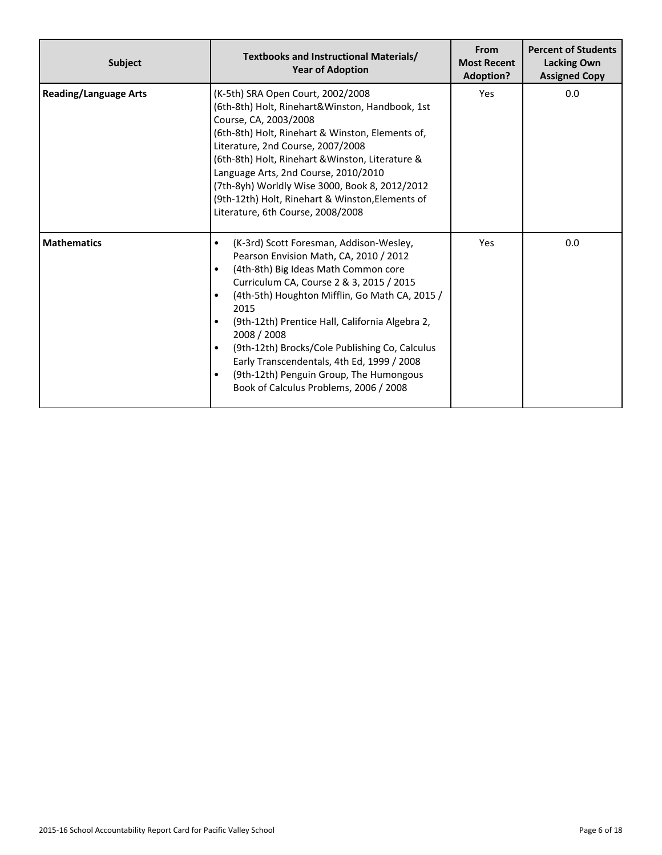| <b>Subject</b>               | Textbooks and Instructional Materials/<br><b>Year of Adoption</b>                                                                                                                                                                                                                                                                                                                                                                                                                                                             | From<br><b>Most Recent</b><br><b>Adoption?</b> | <b>Percent of Students</b><br><b>Lacking Own</b><br><b>Assigned Copy</b> |
|------------------------------|-------------------------------------------------------------------------------------------------------------------------------------------------------------------------------------------------------------------------------------------------------------------------------------------------------------------------------------------------------------------------------------------------------------------------------------------------------------------------------------------------------------------------------|------------------------------------------------|--------------------------------------------------------------------------|
| <b>Reading/Language Arts</b> | (K-5th) SRA Open Court, 2002/2008<br>(6th-8th) Holt, Rinehart&Winston, Handbook, 1st<br>Course, CA, 2003/2008<br>(6th-8th) Holt, Rinehart & Winston, Elements of,<br>Literature, 2nd Course, 2007/2008<br>(6th-8th) Holt, Rinehart & Winston, Literature &<br>Language Arts, 2nd Course, 2010/2010<br>(7th-8yh) Worldly Wise 3000, Book 8, 2012/2012<br>(9th-12th) Holt, Rinehart & Winston, Elements of<br>Literature, 6th Course, 2008/2008                                                                                 | Yes                                            | 0.0                                                                      |
| <b>Mathematics</b>           | (K-3rd) Scott Foresman, Addison-Wesley,<br>$\bullet$<br>Pearson Envision Math, CA, 2010 / 2012<br>(4th-8th) Big Ideas Math Common core<br>$\bullet$<br>Curriculum CA, Course 2 & 3, 2015 / 2015<br>(4th-5th) Houghton Mifflin, Go Math CA, 2015 /<br>2015<br>(9th-12th) Prentice Hall, California Algebra 2,<br>$\bullet$<br>2008 / 2008<br>(9th-12th) Brocks/Cole Publishing Co, Calculus<br>Early Transcendentals, 4th Ed, 1999 / 2008<br>(9th-12th) Penguin Group, The Humongous<br>Book of Calculus Problems, 2006 / 2008 | Yes                                            | 0.0                                                                      |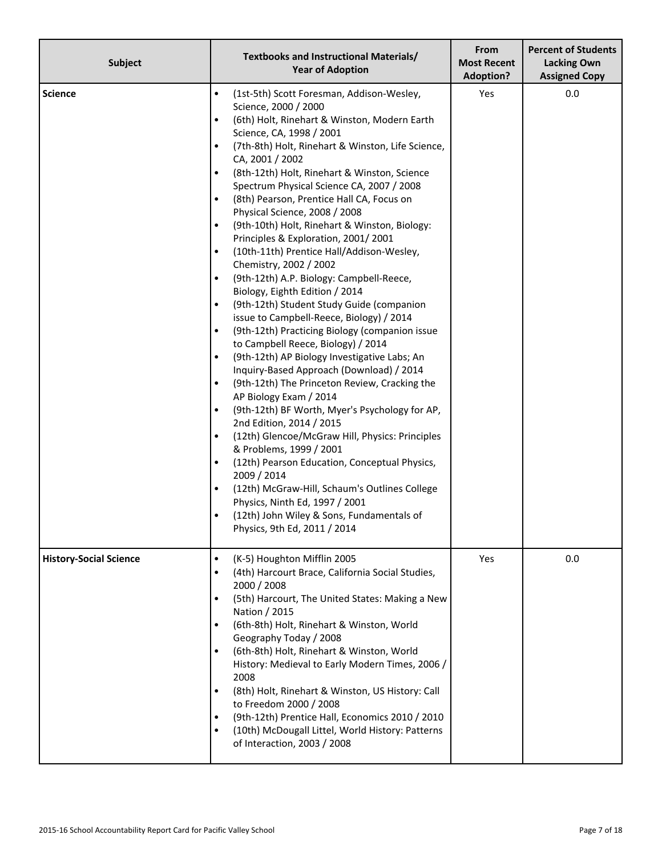| <b>Subject</b>                | Textbooks and Instructional Materials/<br><b>Year of Adoption</b>                                                                                                                                                                                                                                                                                                                                                                                                                                                                                                                                                                                                                                                                                                                                                                                                                                                                                                                                                                                                                                                                                                                                                                                                                                                                                                                                                                                                                                                                             | From<br><b>Most Recent</b><br><b>Adoption?</b> | <b>Percent of Students</b><br><b>Lacking Own</b><br><b>Assigned Copy</b> |
|-------------------------------|-----------------------------------------------------------------------------------------------------------------------------------------------------------------------------------------------------------------------------------------------------------------------------------------------------------------------------------------------------------------------------------------------------------------------------------------------------------------------------------------------------------------------------------------------------------------------------------------------------------------------------------------------------------------------------------------------------------------------------------------------------------------------------------------------------------------------------------------------------------------------------------------------------------------------------------------------------------------------------------------------------------------------------------------------------------------------------------------------------------------------------------------------------------------------------------------------------------------------------------------------------------------------------------------------------------------------------------------------------------------------------------------------------------------------------------------------------------------------------------------------------------------------------------------------|------------------------------------------------|--------------------------------------------------------------------------|
| <b>Science</b>                | (1st-5th) Scott Foresman, Addison-Wesley,<br>$\bullet$<br>Science, 2000 / 2000<br>(6th) Holt, Rinehart & Winston, Modern Earth<br>$\bullet$<br>Science, CA, 1998 / 2001<br>(7th-8th) Holt, Rinehart & Winston, Life Science,<br>$\bullet$<br>CA, 2001 / 2002<br>(8th-12th) Holt, Rinehart & Winston, Science<br>$\bullet$<br>Spectrum Physical Science CA, 2007 / 2008<br>(8th) Pearson, Prentice Hall CA, Focus on<br>Physical Science, 2008 / 2008<br>(9th-10th) Holt, Rinehart & Winston, Biology:<br>Principles & Exploration, 2001/2001<br>(10th-11th) Prentice Hall/Addison-Wesley,<br>Chemistry, 2002 / 2002<br>(9th-12th) A.P. Biology: Campbell-Reece,<br>Biology, Eighth Edition / 2014<br>(9th-12th) Student Study Guide (companion<br>issue to Campbell-Reece, Biology) / 2014<br>(9th-12th) Practicing Biology (companion issue<br>٠<br>to Campbell Reece, Biology) / 2014<br>(9th-12th) AP Biology Investigative Labs; An<br>٠<br>Inquiry-Based Approach (Download) / 2014<br>(9th-12th) The Princeton Review, Cracking the<br>$\bullet$<br>AP Biology Exam / 2014<br>(9th-12th) BF Worth, Myer's Psychology for AP,<br>$\bullet$<br>2nd Edition, 2014 / 2015<br>(12th) Glencoe/McGraw Hill, Physics: Principles<br>$\bullet$<br>& Problems, 1999 / 2001<br>(12th) Pearson Education, Conceptual Physics,<br>$\bullet$<br>2009 / 2014<br>(12th) McGraw-Hill, Schaum's Outlines College<br>$\bullet$<br>Physics, Ninth Ed, 1997 / 2001<br>(12th) John Wiley & Sons, Fundamentals of<br>$\bullet$<br>Physics, 9th Ed, 2011 / 2014 | Yes                                            | 0.0                                                                      |
| <b>History-Social Science</b> | (K-5) Houghton Mifflin 2005<br>$\bullet$<br>(4th) Harcourt Brace, California Social Studies,<br>$\bullet$<br>2000 / 2008<br>(5th) Harcourt, The United States: Making a New<br>$\bullet$<br>Nation / 2015<br>(6th-8th) Holt, Rinehart & Winston, World<br>$\bullet$<br>Geography Today / 2008<br>(6th-8th) Holt, Rinehart & Winston, World<br>$\bullet$<br>History: Medieval to Early Modern Times, 2006 /<br>2008<br>(8th) Holt, Rinehart & Winston, US History: Call<br>$\bullet$<br>to Freedom 2000 / 2008<br>(9th-12th) Prentice Hall, Economics 2010 / 2010<br>(10th) McDougall Littel, World History: Patterns<br>$\bullet$<br>of Interaction, 2003 / 2008                                                                                                                                                                                                                                                                                                                                                                                                                                                                                                                                                                                                                                                                                                                                                                                                                                                                              | Yes                                            | 0.0                                                                      |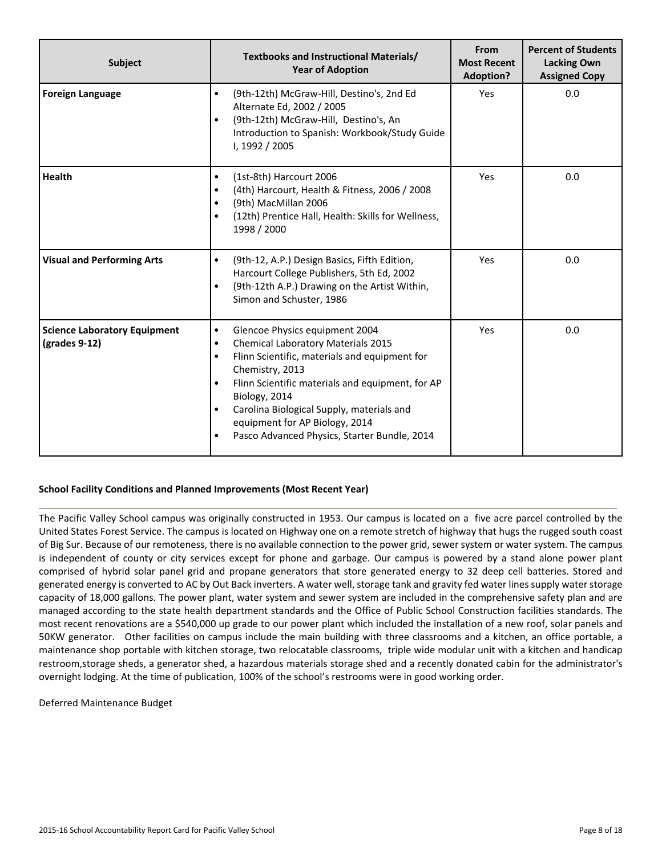| Subject                                              | Textbooks and Instructional Materials/<br><b>Year of Adoption</b>                                                                                                                                                                                                                                                                                                                                                                 | From<br><b>Most Recent</b><br><b>Adoption?</b> | <b>Percent of Students</b><br><b>Lacking Own</b><br><b>Assigned Copy</b> |
|------------------------------------------------------|-----------------------------------------------------------------------------------------------------------------------------------------------------------------------------------------------------------------------------------------------------------------------------------------------------------------------------------------------------------------------------------------------------------------------------------|------------------------------------------------|--------------------------------------------------------------------------|
| <b>Foreign Language</b>                              | (9th-12th) McGraw-Hill, Destino's, 2nd Ed<br>$\bullet$<br>Alternate Ed, 2002 / 2005<br>(9th-12th) McGraw-Hill, Destino's, An<br>$\bullet$<br>Introduction to Spanish: Workbook/Study Guide<br>I, 1992 / 2005                                                                                                                                                                                                                      | Yes                                            | 0.0                                                                      |
| <b>Health</b>                                        | (1st-8th) Harcourt 2006<br>$\bullet$<br>(4th) Harcourt, Health & Fitness, 2006 / 2008<br>$\bullet$<br>(9th) MacMillan 2006<br>$\bullet$<br>(12th) Prentice Hall, Health: Skills for Wellness,<br>$\bullet$<br>1998 / 2000                                                                                                                                                                                                         | Yes                                            | 0.0                                                                      |
| <b>Visual and Performing Arts</b>                    | (9th-12, A.P.) Design Basics, Fifth Edition,<br>$\bullet$<br>Harcourt College Publishers, 5th Ed, 2002<br>(9th-12th A.P.) Drawing on the Artist Within,<br>$\bullet$<br>Simon and Schuster, 1986                                                                                                                                                                                                                                  | Yes                                            | 0.0                                                                      |
| <b>Science Laboratory Equipment</b><br>(grades 9-12) | Glencoe Physics equipment 2004<br>$\bullet$<br><b>Chemical Laboratory Materials 2015</b><br>$\bullet$<br>Flinn Scientific, materials and equipment for<br>$\bullet$<br>Chemistry, 2013<br>Flinn Scientific materials and equipment, for AP<br>$\bullet$<br>Biology, 2014<br>Carolina Biological Supply, materials and<br>$\bullet$<br>equipment for AP Biology, 2014<br>Pasco Advanced Physics, Starter Bundle, 2014<br>$\bullet$ |                                                | 0.0                                                                      |

## **School Facility Conditions and Planned Improvements (Most Recent Year)**

The Pacific Valley School campus was originally constructed in 1953. Our campus is located on a five acre parcel controlled by the United States Forest Service. The campus is located on Highway one on a remote stretch of highway that hugs the rugged south coast of Big Sur. Because of our remoteness, there is no available connection to the power grid, sewer system or water system. The campus is independent of county or city services except for phone and garbage. Our campus is powered by a stand alone power plant comprised of hybrid solar panel grid and propane generators that store generated energy to 32 deep cell batteries. Stored and generated energy is converted to AC by Out Back inverters. A water well, storage tank and gravity fed water lines supply water storage capacity of 18,000 gallons. The power plant, water system and sewer system are included in the comprehensive safety plan and are managed according to the state health department standards and the Office of Public School Construction facilities standards. The most recent renovations are a \$540,000 up grade to our power plant which included the installation of a new roof, solar panels and 50KW generator. Other facilities on campus include the main building with three classrooms and a kitchen, an office portable, a maintenance shop portable with kitchen storage, two relocatable classrooms, triple wide modular unit with a kitchen and handicap restroom,storage sheds, a generator shed, a hazardous materials storage shed and a recently donated cabin for the administrator's overnight lodging. At the time of publication, 100% of the school's restrooms were in good working order.

Deferred Maintenance Budget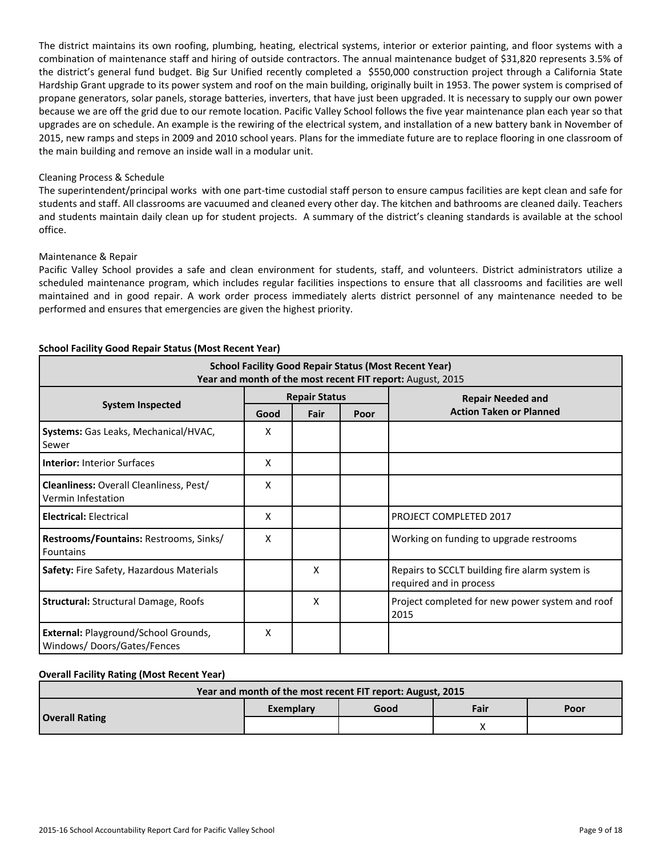The district maintains its own roofing, plumbing, heating, electrical systems, interior or exterior painting, and floor systems with a combination of maintenance staff and hiring of outside contractors. The annual maintenance budget of \$31,820 represents 3.5% of the district's general fund budget. Big Sur Unified recently completed a \$550,000 construction project through a California State Hardship Grant upgrade to its power system and roof on the main building, originally built in 1953. The power system is comprised of propane generators, solar panels, storage batteries, inverters, that have just been upgraded. It is necessary to supply our own power because we are off the grid due to our remote location. Pacific Valley School follows the five year maintenance plan each year so that upgrades are on schedule. An example is the rewiring of the electrical system, and installation of a new battery bank in November of 2015, new ramps and steps in 2009 and 2010 school years. Plans for the immediate future are to replace flooring in one classroom of the main building and remove an inside wall in a modular unit.

#### Cleaning Process & Schedule

The superintendent/principal works with one part-time custodial staff person to ensure campus facilities are kept clean and safe for students and staff. All classrooms are vacuumed and cleaned every other day. The kitchen and bathrooms are cleaned daily. Teachers and students maintain daily clean up for student projects. A summary of the district's cleaning standards is available at the school office.

#### Maintenance & Repair

Pacific Valley School provides a safe and clean environment for students, staff, and volunteers. District administrators utilize a scheduled maintenance program, which includes regular facilities inspections to ensure that all classrooms and facilities are well maintained and in good repair. A work order process immediately alerts district personnel of any maintenance needed to be performed and ensures that emergencies are given the highest priority.

| <b>School Facility Good Repair Status (Most Recent Year)</b><br>Year and month of the most recent FIT report: August, 2015 |                      |      |      |                                                                           |  |
|----------------------------------------------------------------------------------------------------------------------------|----------------------|------|------|---------------------------------------------------------------------------|--|
|                                                                                                                            | <b>Repair Status</b> |      |      | <b>Repair Needed and</b>                                                  |  |
| <b>System Inspected</b>                                                                                                    | Good                 | Fair | Poor | <b>Action Taken or Planned</b>                                            |  |
| Systems: Gas Leaks, Mechanical/HVAC,<br>Sewer                                                                              | Χ                    |      |      |                                                                           |  |
| <b>Interior: Interior Surfaces</b>                                                                                         | x                    |      |      |                                                                           |  |
| Cleanliness: Overall Cleanliness, Pest/<br>Vermin Infestation                                                              | x                    |      |      |                                                                           |  |
| <b>Electrical: Electrical</b>                                                                                              | x                    |      |      | PROJECT COMPLETED 2017                                                    |  |
| Restrooms/Fountains: Restrooms, Sinks/<br><b>Fountains</b>                                                                 | x                    |      |      | Working on funding to upgrade restrooms                                   |  |
| Safety: Fire Safety, Hazardous Materials                                                                                   |                      | X    |      | Repairs to SCCLT building fire alarm system is<br>required and in process |  |
| <b>Structural: Structural Damage, Roofs</b>                                                                                |                      | X    |      | Project completed for new power system and roof<br>2015                   |  |
| External: Playground/School Grounds,<br>Windows/Doors/Gates/Fences                                                         | x                    |      |      |                                                                           |  |

#### **School Facility Good Repair Status (Most Recent Year)**

## **Overall Facility Rating (Most Recent Year)**

| Year and month of the most recent FIT report: August, 2015 |           |      |      |      |  |
|------------------------------------------------------------|-----------|------|------|------|--|
|                                                            | Exemplary | Good | Fair | Poor |  |
| <b>Overall Rating</b>                                      |           |      |      |      |  |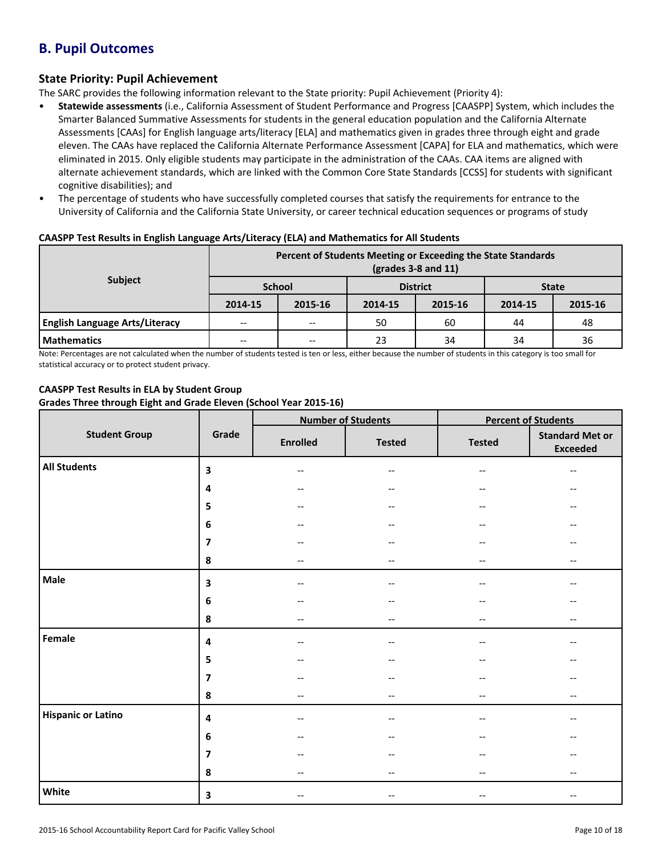## **B. Pupil Outcomes**

## **State Priority: Pupil Achievement**

The SARC provides the following information relevant to the State priority: Pupil Achievement (Priority 4):

- **Statewide assessments** (i.e., California Assessment of Student Performance and Progress [CAASPP] System, which includes the Smarter Balanced Summative Assessments for students in the general education population and the California Alternate Assessments [CAAs] for English language arts/literacy [ELA] and mathematics given in grades three through eight and grade eleven. The CAAs have replaced the California Alternate Performance Assessment [CAPA] for ELA and mathematics, which were eliminated in 2015. Only eligible students may participate in the administration of the CAAs. CAA items are aligned with alternate achievement standards, which are linked with the Common Core State Standards [CCSS] for students with significant cognitive disabilities); and
- The percentage of students who have successfully completed courses that satisfy the requirements for entrance to the University of California and the California State University, or career technical education sequences or programs of study

| <b>Subject</b>                        | Percent of Students Meeting or Exceeding the State Standards<br>$\left(\frac{\text{grades}}{3-8}\right)$ and 11) |         |                 |         |              |         |  |  |  |
|---------------------------------------|------------------------------------------------------------------------------------------------------------------|---------|-----------------|---------|--------------|---------|--|--|--|
|                                       | <b>School</b>                                                                                                    |         | <b>District</b> |         | <b>State</b> |         |  |  |  |
|                                       | 2014-15                                                                                                          | 2015-16 | 2014-15         | 2015-16 | 2014-15      | 2015-16 |  |  |  |
| <b>English Language Arts/Literacy</b> | $- -$                                                                                                            | $- -$   | 50              | 60      | 44           | 48      |  |  |  |
| <b>Mathematics</b>                    | $- -$                                                                                                            | --      | 23              | 34      | 34           | 36      |  |  |  |

#### **CAASPP Test Results in English Language Arts/Literacy (ELA) and Mathematics for All Students**

Note: Percentages are not calculated when the number of students tested is ten or less, either because the number of students in this category is too small for statistical accuracy or to protect student privacy.

## **CAASPP Test Results in ELA by Student Group**

#### **Grades Three through Eight and Grade Eleven (School Year 2015-16)**

|                           |                         |                          | <b>Number of Students</b> | <b>Percent of Students</b> |                                           |  |
|---------------------------|-------------------------|--------------------------|---------------------------|----------------------------|-------------------------------------------|--|
| <b>Student Group</b>      | Grade                   | <b>Enrolled</b>          | <b>Tested</b>             | <b>Tested</b>              | <b>Standard Met or</b><br><b>Exceeded</b> |  |
| <b>All Students</b>       | 3                       | $\overline{\phantom{m}}$ | $-\,-$                    | $-\,-$                     | $-\,-$                                    |  |
|                           | 4                       | $\qquad \qquad -$        | $\overline{\phantom{a}}$  |                            |                                           |  |
|                           | 5                       | $\overline{\phantom{m}}$ | $-\,-$                    | $\overline{\phantom{a}}$   |                                           |  |
|                           | 6                       | $\qquad \qquad -$        | $\qquad \qquad -$         |                            |                                           |  |
|                           | $\overline{\mathbf{z}}$ | $\qquad \qquad -$        | $\overline{\phantom{m}}$  |                            |                                           |  |
|                           | 8                       | $\overline{\phantom{m}}$ | $-\,-$                    | $-$                        | $\overline{\phantom{m}}$                  |  |
| Male                      | $\overline{\mathbf{3}}$ | $-$                      | $\overline{\phantom{a}}$  |                            |                                           |  |
|                           | 6                       | $\qquad \qquad -$        | $-\,-$                    |                            |                                           |  |
|                           | ${\bf 8}$               | $\overline{\phantom{m}}$ | $\overline{\phantom{m}}$  | $\overline{\phantom{a}}$   | $-\,-$                                    |  |
| Female                    | 4                       | $-$                      | $-\,-$                    | $- -$                      | $-$                                       |  |
|                           | 5                       | $\qquad \qquad -$        | $\overline{\phantom{a}}$  |                            |                                           |  |
|                           | 7                       | $\qquad \qquad -$        | $- -$                     | $-$                        | --                                        |  |
|                           | 8                       | $\overline{\phantom{m}}$ | $-\,-$                    | $\overline{\phantom{a}}$   | $\overline{\phantom{m}}$                  |  |
| <b>Hispanic or Latino</b> | 4                       | $\qquad \qquad -$        | $\overline{\phantom{a}}$  | $-$                        |                                           |  |
|                           | 6                       | $-$                      | $\overline{\phantom{m}}$  |                            |                                           |  |
|                           | 7                       | $\overline{\phantom{m}}$ | $-\,-$                    | --                         | $-$                                       |  |
|                           | 8                       | $-$                      | $-\,-$                    | --                         | $\overline{\phantom{a}}$                  |  |
| White                     | $\overline{\mathbf{3}}$ | $\overline{\phantom{m}}$ | $\overline{\phantom{m}}$  | $-$                        | $\overline{\phantom{a}}$                  |  |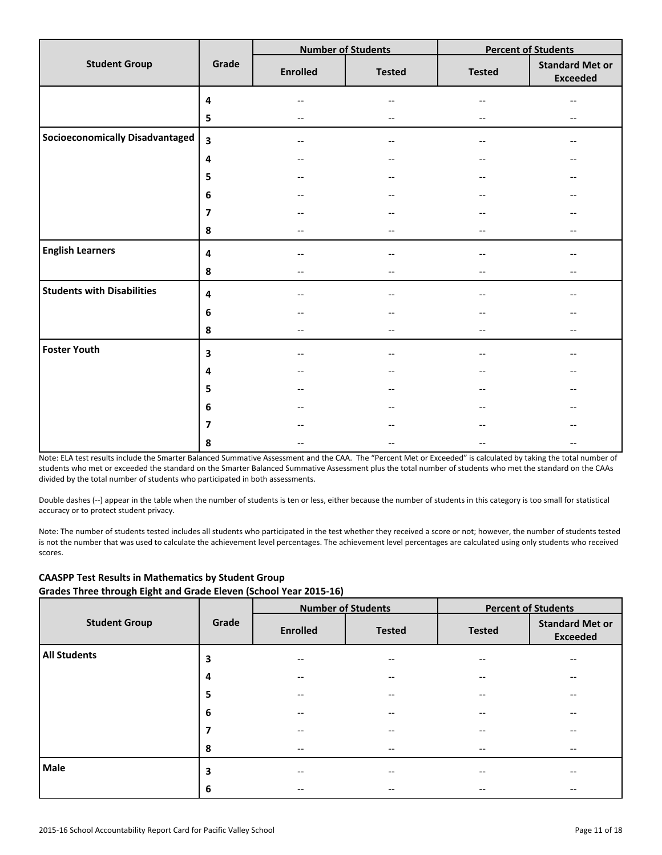|                                        |                         |                                                     | <b>Number of Students</b> | <b>Percent of Students</b> |                                           |  |
|----------------------------------------|-------------------------|-----------------------------------------------------|---------------------------|----------------------------|-------------------------------------------|--|
| <b>Student Group</b>                   | Grade                   | <b>Enrolled</b>                                     | <b>Tested</b>             | <b>Tested</b>              | <b>Standard Met or</b><br><b>Exceeded</b> |  |
|                                        | 4                       |                                                     | --                        |                            |                                           |  |
|                                        | 5                       | $\hspace{0.05cm} -\hspace{0.05cm} -\hspace{0.05cm}$ | --                        |                            | $-$                                       |  |
| <b>Socioeconomically Disadvantaged</b> | $\overline{\mathbf{3}}$ | $\overline{\phantom{a}}$                            | $-$                       | $-$                        | --                                        |  |
|                                        | 4                       | --                                                  | --                        |                            |                                           |  |
|                                        | 5                       |                                                     | --                        |                            |                                           |  |
|                                        | 6                       | --                                                  | --                        |                            |                                           |  |
|                                        | $\overline{\mathbf{z}}$ |                                                     | --                        |                            |                                           |  |
|                                        | 8                       | $\overline{\phantom{m}}$                            | $-$                       |                            | --                                        |  |
| <b>English Learners</b>                | 4                       |                                                     | --                        |                            |                                           |  |
|                                        | 8                       | $\overline{\phantom{m}}$                            | --                        |                            | $-$                                       |  |
| <b>Students with Disabilities</b>      | 4                       | $=$                                                 | $-$                       |                            |                                           |  |
|                                        | $\boldsymbol{6}$        |                                                     | --                        |                            |                                           |  |
|                                        | 8                       | $-$                                                 | $-$                       | $\qquad \qquad -$          | --                                        |  |
| <b>Foster Youth</b>                    | $\overline{\mathbf{3}}$ | $\overline{\phantom{m}}$                            | $-$                       |                            |                                           |  |
|                                        | 4                       | --                                                  | --                        |                            |                                           |  |
|                                        | 5                       | $\overline{\phantom{a}}$                            | $\qquad \qquad -$         |                            |                                           |  |
|                                        | 6                       |                                                     |                           |                            |                                           |  |
|                                        | $\overline{7}$          |                                                     | --                        |                            |                                           |  |
|                                        | 8                       |                                                     | --                        | $\overline{\phantom{a}}$   |                                           |  |

Note: ELA test results include the Smarter Balanced Summative Assessment and the CAA. The "Percent Met or Exceeded" is calculated by taking the total number of students who met or exceeded the standard on the Smarter Balanced Summative Assessment plus the total number of students who met the standard on the CAAs divided by the total number of students who participated in both assessments.

Double dashes (--) appear in the table when the number of students is ten or less, either because the number of students in this category is too small for statistical accuracy or to protect student privacy.

Note: The number of students tested includes all students who participated in the test whether they received a score or not; however, the number of students tested is not the number that was used to calculate the achievement level percentages. The achievement level percentages are calculated using only students who received scores.

|                      | Grade |                                       | <b>Number of Students</b> | <b>Percent of Students</b> |                                           |  |
|----------------------|-------|---------------------------------------|---------------------------|----------------------------|-------------------------------------------|--|
| <b>Student Group</b> |       | <b>Enrolled</b>                       | <b>Tested</b>             | <b>Tested</b>              | <b>Standard Met or</b><br><b>Exceeded</b> |  |
| <b>All Students</b>  | 3     | --                                    | $-$                       |                            | $-$                                       |  |
|                      | 4     | $\hspace{0.05cm}$ – $\hspace{0.05cm}$ | $- -$                     | --                         | $\qquad \qquad -$                         |  |
|                      | 5     | $-$                                   | $\qquad \qquad -$         | --                         | $\qquad \qquad -$                         |  |
|                      | 6     | --                                    | $- -$                     | --                         | $\qquad \qquad -$                         |  |
|                      | 7     | $\qquad \qquad -$                     | $\qquad \qquad -$         |                            | $\qquad \qquad -$                         |  |
|                      | 8     | $\hspace{0.05cm}$ – $\hspace{0.05cm}$ | $\overline{\phantom{m}}$  | --                         | $\overline{\phantom{m}}$                  |  |
| Male                 | 3     | --                                    | $- -$                     | --                         | $- -$                                     |  |
|                      | 6     | $\hspace{0.05cm}$ – $\hspace{0.05cm}$ | $- -$                     | --                         | $\overline{\phantom{m}}$                  |  |

## **CAASPP Test Results in Mathematics by Student Group Grades Three through Eight and Grade Eleven (School Year 2015-16)**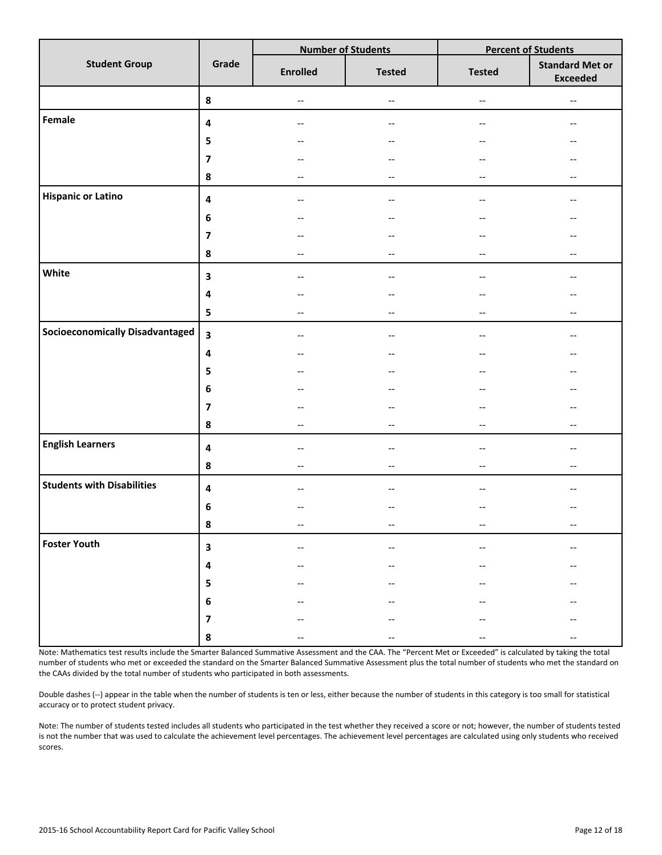|                                        |                         |                                                     | <b>Number of Students</b> | <b>Percent of Students</b>                          |                                           |  |
|----------------------------------------|-------------------------|-----------------------------------------------------|---------------------------|-----------------------------------------------------|-------------------------------------------|--|
| <b>Student Group</b>                   | Grade                   | <b>Enrolled</b>                                     | <b>Tested</b>             | <b>Tested</b>                                       | <b>Standard Met or</b><br><b>Exceeded</b> |  |
|                                        | ${\bf 8}$               | $\hspace{0.05cm} \dashrightarrow$                   | $\overline{\phantom{a}}$  | $\hspace{0.05cm} -\hspace{0.05cm} -\hspace{0.05cm}$ | $-\hbox{--}$                              |  |
| Female                                 | $\overline{\mathbf{4}}$ | $\hspace{0.05cm} \ldots$                            | $- -$                     | $\overline{\phantom{a}}$                            | $\hspace{0.05cm}$ $\hspace{0.05cm}$       |  |
|                                        | 5                       | --                                                  | --                        | --                                                  |                                           |  |
|                                        | $\overline{\mathbf{z}}$ | $-$                                                 | $\overline{\phantom{a}}$  | --                                                  |                                           |  |
|                                        | $\pmb{8}$               | --                                                  | $\overline{\phantom{a}}$  | --                                                  | $\qquad \qquad -$                         |  |
| <b>Hispanic or Latino</b>              | $\overline{\mathbf{4}}$ | $-$                                                 | $\overline{\phantom{a}}$  | --                                                  |                                           |  |
|                                        | $\bf 6$                 | $-$                                                 | $\overline{\phantom{a}}$  | $-$                                                 | $-$                                       |  |
|                                        | $\overline{\mathbf{z}}$ | $-$                                                 | $\qquad \qquad -$         | --                                                  |                                           |  |
|                                        | 8                       | $-$                                                 | $\overline{\phantom{a}}$  | $\overline{\phantom{a}}$                            | $-$                                       |  |
| White                                  | 3                       | --                                                  | $\qquad \qquad -$         |                                                     |                                           |  |
|                                        | $\overline{\mathbf{4}}$ | --                                                  | $\qquad \qquad -$         | --                                                  |                                           |  |
|                                        | 5                       | $\hspace{0.05cm}$ – $\hspace{0.05cm}$               | $\overline{\phantom{a}}$  | $\overline{\phantom{a}}$                            | $\hspace{0.05cm}$ $\hspace{0.05cm}$       |  |
| <b>Socioeconomically Disadvantaged</b> | $\overline{\mathbf{3}}$ | $\hspace{0.05cm}$ – $\hspace{0.05cm}$               | $- -$                     | $\overline{\phantom{a}}$                            | $-$                                       |  |
|                                        | $\pmb{4}$               | $-\!$ –                                             | --                        | $\overline{\phantom{m}}$                            |                                           |  |
|                                        | 5                       |                                                     | $-\,-$                    | --                                                  |                                           |  |
|                                        | $\bf 6$                 |                                                     | $\overline{\phantom{a}}$  |                                                     |                                           |  |
|                                        | $\overline{\mathbf{z}}$ |                                                     | --                        |                                                     |                                           |  |
|                                        | 8                       | $\overline{\phantom{a}}$                            | $\overline{\phantom{a}}$  | $\overline{\phantom{a}}$                            | $\overline{\phantom{a}}$                  |  |
| <b>English Learners</b>                | $\overline{\mathbf{4}}$ | $-$                                                 | $\overline{\phantom{a}}$  | $-$                                                 | $-$                                       |  |
|                                        | $\pmb{8}$               | $\hspace{0.05cm} -\hspace{0.05cm} -\hspace{0.05cm}$ | $\overline{\phantom{a}}$  | $\overline{\phantom{m}}$                            | $\overline{\phantom{a}}$                  |  |
| <b>Students with Disabilities</b>      | $\overline{\mathbf{4}}$ | --                                                  | --                        |                                                     |                                           |  |
|                                        | $\bf 6$                 |                                                     | --                        |                                                     |                                           |  |
|                                        | 8                       | --                                                  |                           | --                                                  |                                           |  |
| <b>Foster Youth</b>                    | $\overline{\mathbf{3}}$ |                                                     |                           |                                                     |                                           |  |
|                                        | $\pmb{4}$               |                                                     |                           |                                                     |                                           |  |
|                                        | 5                       |                                                     |                           |                                                     |                                           |  |
|                                        | $\boldsymbol{6}$        |                                                     |                           |                                                     |                                           |  |
|                                        | $\overline{\mathbf{z}}$ |                                                     |                           |                                                     |                                           |  |
|                                        | 8                       |                                                     |                           |                                                     |                                           |  |

Note: Mathematics test results include the Smarter Balanced Summative Assessment and the CAA. The "Percent Met or Exceeded" is calculated by taking the total number of students who met or exceeded the standard on the Smarter Balanced Summative Assessment plus the total number of students who met the standard on the CAAs divided by the total number of students who participated in both assessments.

Double dashes (--) appear in the table when the number of students is ten or less, either because the number of students in this category is too small for statistical accuracy or to protect student privacy.

Note: The number of students tested includes all students who participated in the test whether they received a score or not; however, the number of students tested is not the number that was used to calculate the achievement level percentages. The achievement level percentages are calculated using only students who received scores.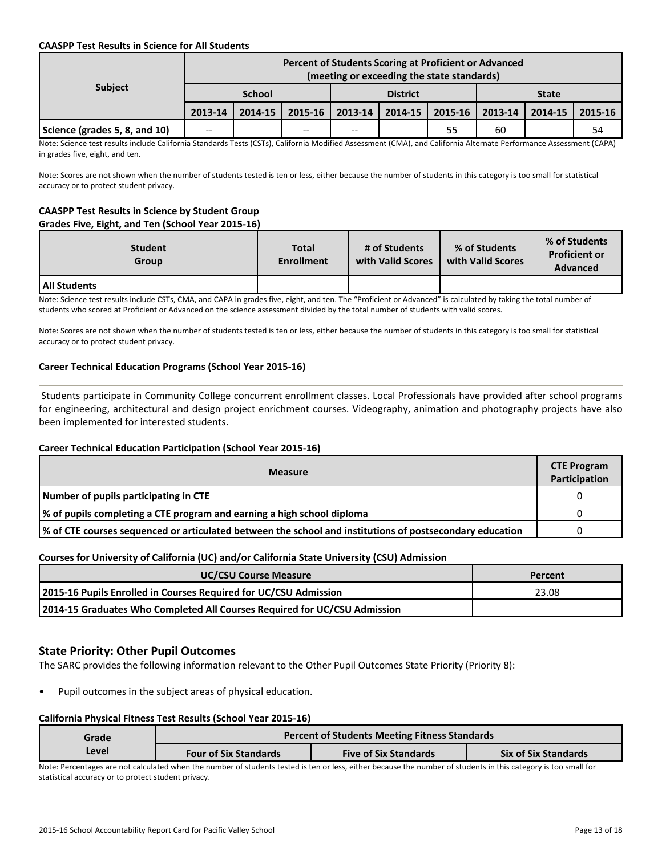#### **CAASPP Test Results in Science for All Students**

| <b>Subject</b>                | Percent of Students Scoring at Proficient or Advanced<br>(meeting or exceeding the state standards) |         |                 |                       |             |              |         |         |         |
|-------------------------------|-----------------------------------------------------------------------------------------------------|---------|-----------------|-----------------------|-------------|--------------|---------|---------|---------|
|                               | <b>School</b>                                                                                       |         | <b>District</b> |                       |             | <b>State</b> |         |         |         |
|                               | 2013-14                                                                                             | 2014-15 |                 | $2015 - 16$   2013-14 | $2014 - 15$ | 2015-16      | 2013-14 | 2014-15 | 2015-16 |
| Science (grades 5, 8, and 10) | $- -$                                                                                               |         | --              | $-$                   |             | 55           | 60      |         | 54      |

Note: Science test results include California Standards Tests (CSTs), California Modified Assessment (CMA), and California Alternate Performance Assessment (CAPA) in grades five, eight, and ten.

Note: Scores are not shown when the number of students tested is ten or less, either because the number of students in this category is too small for statistical accuracy or to protect student privacy.

#### **CAASPP Test Results in Science by Student Group Grades Five, Eight, and Ten (School Year 2015-16)**

| <b>Student</b><br>Group | <b>Total</b><br><b>Enrollment</b> | # of Students<br>with Valid Scores | % of Students<br>with Valid Scores | % of Students<br><b>Proficient or</b><br><b>Advanced</b> |
|-------------------------|-----------------------------------|------------------------------------|------------------------------------|----------------------------------------------------------|
| All Students            |                                   |                                    |                                    |                                                          |

Note: Science test results include CSTs, CMA, and CAPA in grades five, eight, and ten. The "Proficient or Advanced" is calculated by taking the total number of students who scored at Proficient or Advanced on the science assessment divided by the total number of students with valid scores.

Note: Scores are not shown when the number of students tested is ten or less, either because the number of students in this category is too small for statistical accuracy or to protect student privacy.

## **Career Technical Education Programs (School Year 2015-16)**

 Students participate in Community College concurrent enrollment classes. Local Professionals have provided after school programs for engineering, architectural and design project enrichment courses. Videography, animation and photography projects have also been implemented for interested students.

## **Career Technical Education Participation (School Year 2015-16)**

| <b>Measure</b>                                                                                           |  |  |  |  |  |
|----------------------------------------------------------------------------------------------------------|--|--|--|--|--|
| Number of pupils participating in CTE                                                                    |  |  |  |  |  |
| % of pupils completing a CTE program and earning a high school diploma                                   |  |  |  |  |  |
| √ of CTE courses sequenced or articulated between the school and institutions of postsecondary education |  |  |  |  |  |

#### **Courses for University of California (UC) and/or California State University (CSU) Admission**

| <b>UC/CSU Course Measure</b>                                              | Percent |
|---------------------------------------------------------------------------|---------|
| 2015-16 Pupils Enrolled in Courses Required for UC/CSU Admission          | 23.08   |
| 2014-15 Graduates Who Completed All Courses Required for UC/CSU Admission |         |

## **State Priority: Other Pupil Outcomes**

The SARC provides the following information relevant to the Other Pupil Outcomes State Priority (Priority 8):

Pupil outcomes in the subject areas of physical education.

#### **California Physical Fitness Test Results (School Year 2015-16)**

| Grade | <b>Percent of Students Meeting Fitness Standards</b> |                              |                             |  |  |  |  |  |
|-------|------------------------------------------------------|------------------------------|-----------------------------|--|--|--|--|--|
| Level | <b>Four of Six Standards</b>                         | <b>Five of Six Standards</b> | <b>Six of Six Standards</b> |  |  |  |  |  |

Note: Percentages are not calculated when the number of students tested is ten or less, either because the number of students in this category is too small for statistical accuracy or to protect student privacy.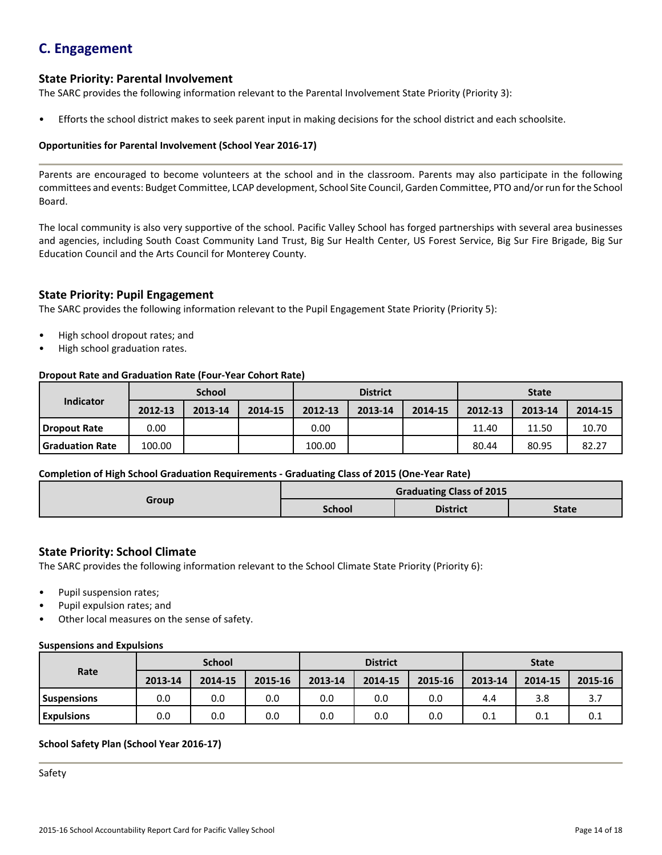## **C. Engagement**

## **State Priority: Parental Involvement**

The SARC provides the following information relevant to the Parental Involvement State Priority (Priority 3):

• Efforts the school district makes to seek parent input in making decisions for the school district and each schoolsite.

#### **Opportunities for Parental Involvement (School Year 2016-17)**

Parents are encouraged to become volunteers at the school and in the classroom. Parents may also participate in the following committees and events: Budget Committee, LCAP development, School Site Council, Garden Committee, PTO and/or run for the School Board.

The local community is also very supportive of the school. Pacific Valley School has forged partnerships with several area businesses and agencies, including South Coast Community Land Trust, Big Sur Health Center, US Forest Service, Big Sur Fire Brigade, Big Sur Education Council and the Arts Council for Monterey County.

## **State Priority: Pupil Engagement**

The SARC provides the following information relevant to the Pupil Engagement State Priority (Priority 5):

- High school dropout rates; and
- High school graduation rates.

#### **Dropout Rate and Graduation Rate (Four-Year Cohort Rate)**

| <b>School</b>          |         | <b>District</b> |         |         | <b>State</b> |         |         |         |         |
|------------------------|---------|-----------------|---------|---------|--------------|---------|---------|---------|---------|
| <b>Indicator</b>       | 2012-13 | 2013-14         | 2014-15 | 2012-13 | 2013-14      | 2014-15 | 2012-13 | 2013-14 | 2014-15 |
| Dropout Rate           | 0.00    |                 |         | 0.00    |              |         | 11.40   | 11.50   | 10.70   |
| <b>Graduation Rate</b> | 100.00  |                 |         | 100.00  |              |         | 80.44   | 80.95   | 82.27   |

#### **Completion of High School Graduation Requirements - Graduating Class of 2015 (One-Year Rate)**

| Group | <b>Graduating Class of 2015</b> |                 |              |  |  |  |
|-------|---------------------------------|-----------------|--------------|--|--|--|
|       | <b>School</b>                   | <b>District</b> | <b>State</b> |  |  |  |

## **State Priority: School Climate**

The SARC provides the following information relevant to the School Climate State Priority (Priority 6):

- Pupil suspension rates;
- Pupil expulsion rates; and
- Other local measures on the sense of safety.

#### **Suspensions and Expulsions**

|                    | <b>School</b> |         |         | <b>District</b> |         |         | <b>State</b> |         |         |
|--------------------|---------------|---------|---------|-----------------|---------|---------|--------------|---------|---------|
| Rate               | 2013-14       | 2014-15 | 2015-16 | 2013-14         | 2014-15 | 2015-16 | 2013-14      | 2014-15 | 2015-16 |
| <b>Suspensions</b> | 0.0           | 0.0     | 0.0     | 0.0             | 0.0     | 0.0     | 4.4          | 3.8     | 3.7     |
| <b>Expulsions</b>  | 0.0           | 0.0     | 0.0     | 0.0             | 0.0     | 0.0     | 0.1          | 0.1     | 0.1     |

## **School Safety Plan (School Year 2016-17)**

Safety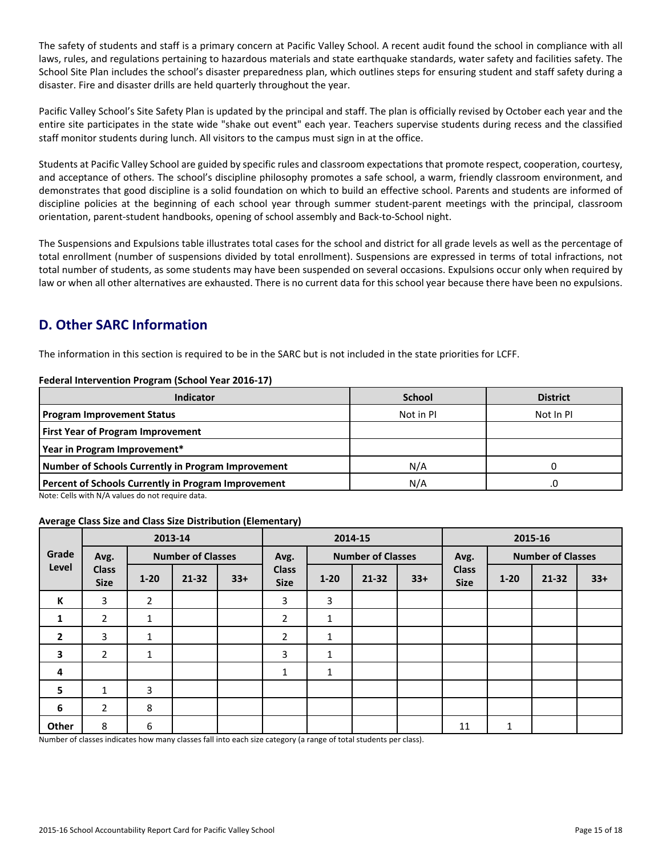The safety of students and staff is a primary concern at Pacific Valley School. A recent audit found the school in compliance with all laws, rules, and regulations pertaining to hazardous materials and state earthquake standards, water safety and facilities safety. The School Site Plan includes the school's disaster preparedness plan, which outlines steps for ensuring student and staff safety during a disaster. Fire and disaster drills are held quarterly throughout the year.

Pacific Valley School's Site Safety Plan is updated by the principal and staff. The plan is officially revised by October each year and the entire site participates in the state wide "shake out event" each year. Teachers supervise students during recess and the classified staff monitor students during lunch. All visitors to the campus must sign in at the office.

Students at Pacific Valley School are guided by specific rules and classroom expectations that promote respect, cooperation, courtesy, and acceptance of others. The school's discipline philosophy promotes a safe school, a warm, friendly classroom environment, and demonstrates that good discipline is a solid foundation on which to build an effective school. Parents and students are informed of discipline policies at the beginning of each school year through summer student-parent meetings with the principal, classroom orientation, parent-student handbooks, opening of school assembly and Back-to-School night.

The Suspensions and Expulsions table illustrates total cases for the school and district for all grade levels as well as the percentage of total enrollment (number of suspensions divided by total enrollment). Suspensions are expressed in terms of total infractions, not total number of students, as some students may have been suspended on several occasions. Expulsions occur only when required by law or when all other alternatives are exhausted. There is no current data for this school year because there have been no expulsions.

## **D. Other SARC Information**

The information in this section is required to be in the SARC but is not included in the state priorities for LCFF.

#### **Federal Intervention Program (School Year 2016-17)**

| <b>Indicator</b>                                    | <b>School</b> | <b>District</b> |
|-----------------------------------------------------|---------------|-----------------|
| <b>Program Improvement Status</b>                   | Not in PI     | Not In PI       |
| <b>First Year of Program Improvement</b>            |               |                 |
| Year in Program Improvement*                        |               |                 |
| Number of Schools Currently in Program Improvement  | N/A           |                 |
| Percent of Schools Currently in Program Improvement | N/A           | .0              |

Note: Cells with N/A values do not require data.

#### **Average Class Size and Class Size Distribution (Elementary)**

|                | 2013-14                     |                          |           | 2014-15 |                             |                          |           | 2015-16 |                             |                          |           |       |
|----------------|-----------------------------|--------------------------|-----------|---------|-----------------------------|--------------------------|-----------|---------|-----------------------------|--------------------------|-----------|-------|
| Grade          | Avg.                        | <b>Number of Classes</b> |           |         | Avg.                        | <b>Number of Classes</b> |           |         | Avg.                        | <b>Number of Classes</b> |           |       |
| Level          | <b>Class</b><br><b>Size</b> | $1 - 20$                 | $21 - 32$ | $33+$   | <b>Class</b><br><b>Size</b> | $1 - 20$                 | $21 - 32$ | $33+$   | <b>Class</b><br><b>Size</b> | $1 - 20$                 | $21 - 32$ | $33+$ |
| К              | 3                           | $\overline{2}$           |           |         | 3                           | 3                        |           |         |                             |                          |           |       |
| 1              | $\overline{2}$              | 1                        |           |         | $\overline{2}$              | 1                        |           |         |                             |                          |           |       |
| $\overline{2}$ | 3                           | 1                        |           |         | $\overline{2}$              | $\mathbf{1}$             |           |         |                             |                          |           |       |
| 3              | $\overline{2}$              | 1                        |           |         | 3                           | 1                        |           |         |                             |                          |           |       |
| 4              |                             |                          |           |         | 1                           | $\mathbf{1}$             |           |         |                             |                          |           |       |
| $5\phantom{a}$ | $\mathbf{1}$                | 3                        |           |         |                             |                          |           |         |                             |                          |           |       |
| 6              | $\overline{2}$              | 8                        |           |         |                             |                          |           |         |                             |                          |           |       |
| Other          | 8                           | 6                        |           |         |                             |                          |           |         | 11                          | 1                        |           |       |

Number of classes indicates how many classes fall into each size category (a range of total students per class).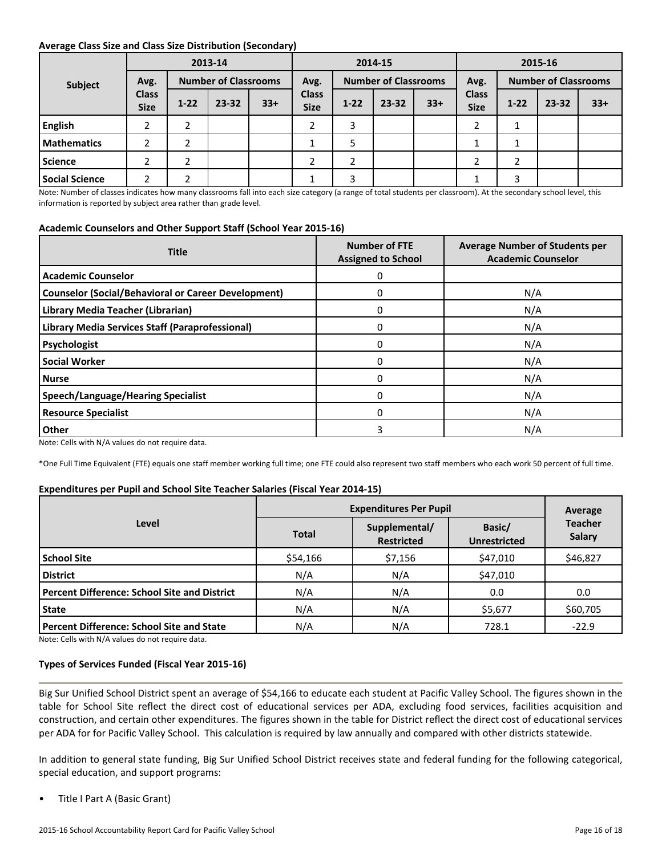#### **Average Class Size and Class Size Distribution (Secondary)**

|                    |                             |          | 2013-14                     |       | 2014-15                     |          |                             |       | 2015-16                     |          |                             |       |
|--------------------|-----------------------------|----------|-----------------------------|-------|-----------------------------|----------|-----------------------------|-------|-----------------------------|----------|-----------------------------|-------|
| Subject            | Avg.                        |          | <b>Number of Classrooms</b> |       | Avg.                        |          | <b>Number of Classrooms</b> |       | Avg.                        |          | <b>Number of Classrooms</b> |       |
|                    | <b>Class</b><br><b>Size</b> | $1 - 22$ | 23-32                       | $33+$ | <b>Class</b><br><b>Size</b> | $1 - 22$ | $23 - 32$                   | $33+$ | <b>Class</b><br><b>Size</b> | $1 - 22$ | $23 - 32$                   | $33+$ |
| <b>English</b>     | ำ                           | ำ        |                             |       | n.                          | 3        |                             |       | ำ                           |          |                             |       |
| <b>Mathematics</b> | 2                           | ∍        |                             |       |                             | 5        |                             |       |                             |          |                             |       |
| Science            |                             | ∍        |                             |       |                             | C.<br>∠  |                             |       |                             | ∠        |                             |       |
| Social Science     |                             |          |                             |       |                             | 3        |                             |       |                             | 3        |                             |       |

Note: Number of classes indicates how many classrooms fall into each size category (a range of total students per classroom). At the secondary school level, this information is reported by subject area rather than grade level.

#### **Academic Counselors and Other Support Staff (School Year 2015-16)**

| <b>Title</b>                                               | <b>Number of FTE</b><br><b>Assigned to School</b> | <b>Average Number of Students per</b><br><b>Academic Counselor</b> |  |  |
|------------------------------------------------------------|---------------------------------------------------|--------------------------------------------------------------------|--|--|
| <b>Academic Counselor</b>                                  | 0                                                 |                                                                    |  |  |
| <b>Counselor (Social/Behavioral or Career Development)</b> | 0                                                 | N/A                                                                |  |  |
| Library Media Teacher (Librarian)                          | 0                                                 | N/A                                                                |  |  |
| Library Media Services Staff (Paraprofessional)            | 0                                                 | N/A                                                                |  |  |
| Psychologist                                               | 0                                                 | N/A                                                                |  |  |
| <b>Social Worker</b>                                       | 0                                                 | N/A                                                                |  |  |
| l Nurse                                                    | 0                                                 | N/A                                                                |  |  |
| <b>Speech/Language/Hearing Specialist</b>                  | 0                                                 | N/A                                                                |  |  |
| <b>Resource Specialist</b>                                 | 0                                                 | N/A                                                                |  |  |
| Other                                                      | 3                                                 | N/A                                                                |  |  |

Note: Cells with N/A values do not require data.

\*One Full Time Equivalent (FTE) equals one staff member working full time; one FTE could also represent two staff members who each work 50 percent of full time.

#### **Expenditures per Pupil and School Site Teacher Salaries (Fiscal Year 2014-15)**

|                                                     | <b>Expenditures Per Pupil</b> | Average                            |                               |                          |
|-----------------------------------------------------|-------------------------------|------------------------------------|-------------------------------|--------------------------|
| Level                                               | <b>Total</b>                  | Supplemental/<br><b>Restricted</b> | Basic/<br><b>Unrestricted</b> | <b>Teacher</b><br>Salary |
| l School Site                                       | \$54,166                      | \$7,156                            | \$47,010                      | \$46,827                 |
| <b>District</b>                                     | N/A                           | N/A                                | \$47,010                      |                          |
| <b>Percent Difference: School Site and District</b> | N/A                           | N/A                                | 0.0                           | 0.0                      |
| State                                               | N/A                           | N/A                                | \$5,677                       | \$60,705                 |
| Percent Difference: School Site and State           | N/A                           | N/A                                | 728.1                         | $-22.9$                  |

Note: Cells with N/A values do not require data.

#### **Types of Services Funded (Fiscal Year 2015-16)**

Big Sur Unified School District spent an average of \$54,166 to educate each student at Pacific Valley School. The figures shown in the table for School Site reflect the direct cost of educational services per ADA, excluding food services, facilities acquisition and construction, and certain other expenditures. The figures shown in the table for District reflect the direct cost of educational services per ADA for for Pacific Valley School. This calculation is required by law annually and compared with other districts statewide.

In addition to general state funding, Big Sur Unified School District receives state and federal funding for the following categorical, special education, and support programs:

• Title I Part A (Basic Grant)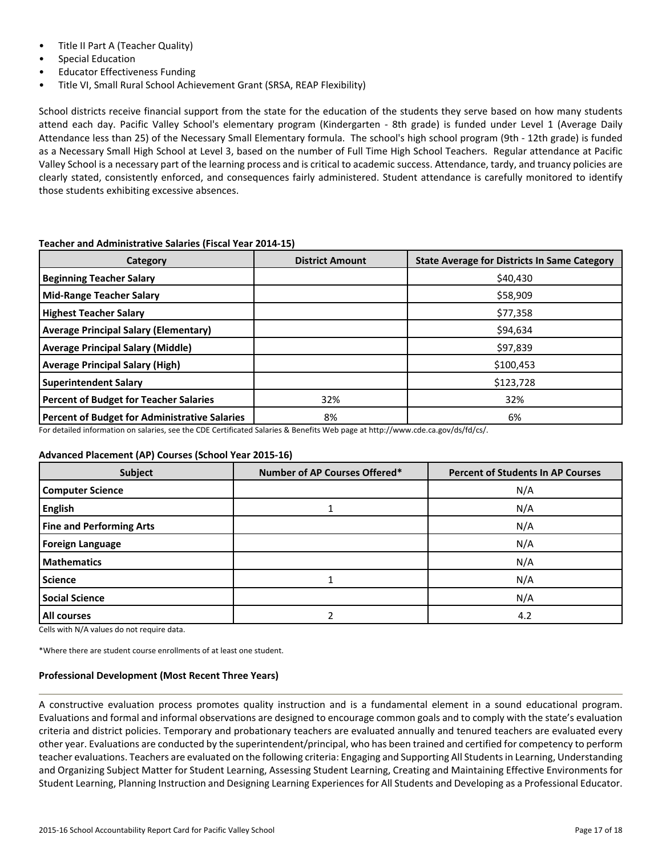- Title II Part A (Teacher Quality)
- Special Education
- Educator Effectiveness Funding
- Title VI, Small Rural School Achievement Grant (SRSA, REAP Flexibility)

School districts receive financial support from the state for the education of the students they serve based on how many students attend each day. Pacific Valley School's elementary program (Kindergarten - 8th grade) is funded under Level 1 (Average Daily Attendance less than 25) of the Necessary Small Elementary formula. The school's high school program (9th - 12th grade) is funded as a Necessary Small High School at Level 3, based on the number of Full Time High School Teachers. Regular attendance at Pacific Valley School is a necessary part of the learning process and is critical to academic success. Attendance, tardy, and truancy policies are clearly stated, consistently enforced, and consequences fairly administered. Student attendance is carefully monitored to identify those students exhibiting excessive absences.

| Category                                      | <b>District Amount</b> | <b>State Average for Districts In Same Category</b> |
|-----------------------------------------------|------------------------|-----------------------------------------------------|
| <b>Beginning Teacher Salary</b>               |                        | \$40,430                                            |
| <b>Mid-Range Teacher Salary</b>               |                        | \$58,909                                            |
| <b>Highest Teacher Salary</b>                 |                        | \$77,358                                            |
| <b>Average Principal Salary (Elementary)</b>  |                        | \$94,634                                            |
| <b>Average Principal Salary (Middle)</b>      |                        | \$97,839                                            |
| <b>Average Principal Salary (High)</b>        |                        | \$100,453                                           |
| <b>Superintendent Salary</b>                  |                        | \$123,728                                           |
| Percent of Budget for Teacher Salaries        | 32%                    | 32%                                                 |
| Percent of Budget for Administrative Salaries | 8%                     | 6%                                                  |

## **Teacher and Administrative Salaries (Fiscal Year 2014-15)**

For detailed information on salaries, see the CDE Certificated Salaries & Benefits Web page at http://www.cde.ca.gov/ds/fd/cs/.

## **Advanced Placement (AP) Courses (School Year 2015-16)**

| Subject                         | Number of AP Courses Offered* | <b>Percent of Students In AP Courses</b> |
|---------------------------------|-------------------------------|------------------------------------------|
| <b>Computer Science</b>         |                               | N/A                                      |
| <b>English</b>                  |                               | N/A                                      |
| <b>Fine and Performing Arts</b> |                               | N/A                                      |
| <b>Foreign Language</b>         |                               | N/A                                      |
| Mathematics                     |                               | N/A                                      |
| <b>Science</b>                  |                               | N/A                                      |
| <b>Social Science</b>           |                               | N/A                                      |
| <b>All courses</b>              |                               | 4.2                                      |

Cells with N/A values do not require data.

\*Where there are student course enrollments of at least one student.

#### **Professional Development (Most Recent Three Years)**

A constructive evaluation process promotes quality instruction and is a fundamental element in a sound educational program. Evaluations and formal and informal observations are designed to encourage common goals and to comply with the state's evaluation criteria and district policies. Temporary and probationary teachers are evaluated annually and tenured teachers are evaluated every other year. Evaluations are conducted by the superintendent/principal, who has been trained and certified for competency to perform teacher evaluations. Teachers are evaluated on the following criteria: Engaging and Supporting All Students in Learning, Understanding and Organizing Subject Matter for Student Learning, Assessing Student Learning, Creating and Maintaining Effective Environments for Student Learning, Planning Instruction and Designing Learning Experiences for All Students and Developing as a Professional Educator.